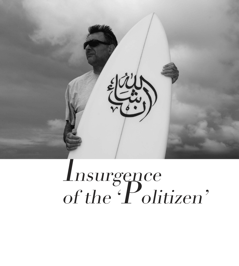

## Insurgence<br>of the 'Politizen'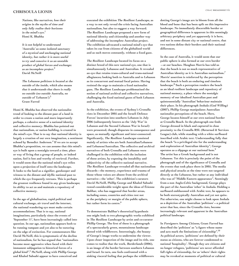## **CHRISOULA LIONIS**

**Nations, like narratives, lose their origins in the myths of time and only fully realise their horizons in the mind's eye.<sup>1</sup> Homi K. Bhabha** 

**It is not helpful to understand 'Australia' as some isolated sanctuary of a mystical and unchanging national identity, but rather it is more useful to try and conceive it as an unstable product of global forces and exchange; as an incomplete project.<sup>2</sup> David McNeill**

**The Lebanese politizen is located at the outside of the inside, which also means that it understands that there is really no outside (no outside Australia, no outside of 'Lebanon').<sup>3</sup> Grant Farred**

**Homi K. Bhabha has observed the nationalist trend of looking to the distant past of a land in order to create a nation and more importantly perhaps, a cohesive sense of a national identity and collective memory. Bhabha has pointed out that nationalism, or nation building, is created in the mind's eye. That is to say that national identity is largely a creation of our own imagination, a sentiment echoed by Benedict Anderson.4 If we are to accept Bhabha's proposition, we can assume that this mind's eye is built upon a nostalgia toward a time, place or way of living that a group of people, or indeed nation, feel is lost and worthy of retrieval. Further, it would seem that the national mind's eye relies upon a projection of itself onto the landscape. It looks to the land as a signifier, gatekeeper and witness to the distant and idyllic national past to which the eye frequently retreats. This is perhaps the greatest resilience found in any given landscape; its ability to act as and maintain a repository of collective memory.** 

**In the age of globalisation, rapid political and cultural exchange, air travel and the internet, the national wandering eye must make certain accommodations. That is to say, national imaginations, particularly since the events of 'September 11', have been increasingly called into question. In our age, nationalism appears both to be running rampant and yet also to be teetering on the edge of extinction. For commentators like David McNeill, this is symptomatic of the decline of nationalism, for he has argued that "nationalists become most aggressive when faced with their immanent subjugation to historical forces of a global kind".5 McNeill, along with Phillip George and Khaled Sabsabi appear to have conceived and** 

**executed the exhibition The Resilient Landscape, as a way to not only reveal the crisis facing Australian nationalism, but also to suggest a way forward. The Resilient Landscape proposed a new form of national identity and citizenship and another way of addressing the incomplete Australian project. The exhibition advocated a national mind's eye that takes its cue from citizens of the globalised world and as such moves constantly, without a fixed gaze.** 

**The Resilient Landscape located its focus on a distinct breed of this new national eye, one that is simultaneously Lebanese and Australian. It revealed an eye that retains trans-cultural and trans-national allegiances; looking both to Australia and to Lebanon as its concurrent and mutual focal points. Having resisted the urge to maintain a fixed nationalist gaze, The Resilient Landscape problematised the notion of national archival and collective narratives, challenging the fixed national gazes of both Lebanon and Australia.** 

**In the exhibition, the events of Sydney's Cronulla riots in December 2005 and the Israeli Defence Forces' incursion into southern Lebanon in July 2006 (subsequently known as the 'July War' in Lebanon and the Second Lebanon War in Israel) were presented, though disparate in consequence and space, as mutually significant and inter-connected. Significantly, The Resilient Landscape consisted mainly of artists who are both Australian/Lebanese and Lebanese/Australian. The collective and archival narratives of both Cronulla and Lebanon were challenged in the exhibition with the inclusion of these artists, by exposing the instability and subjectivity of the collective national narrative. The Resilient Landscape revealed all that nationalism discards—the memory, experience and trauma of those whose voices are absent from the archival narrative—the 'other'. The exhibition's curators David McNeill, Phillip George and Khaled Sabsabi rested considerable weight upon the ideas of Étienne Balibar, who has suggested that border areas, including zones, countries and cities rest not at the periphery or margin of the public sphere, but rather form its centre.6**

**To demonstrate Balibar's theoretical hypothesis one might look to two photographic works exhibited in The Resilient Landscape by artist and co-curator Phillip George. The first of these is a photograph of a spectacularly green, mountainous landscape dotted with wildflowers. Interestingly, the beauty of George's image works to undermine the viewer. Upon closer inspection of the image and its title, one comes to realise that the work, Borderlands (2006), is an image of the border between southern Lebanon and Israel. In turn, one feels confronted with a sinking visceral feeling that perhaps the wildflowers** 

**dotting George's image are in bloom from all the blood and bone that has been spilt on this impressive landscape. No immediately discernible border or geographical difference is apparent in this seemingly arbitrary periphery and yet apparently it is here, and not in some distant city or national centre, that two nations define their borders and their national differences.** 

**In the case of Australia, it would seem that our public sphere is also formed at our own border —at our beaches. Meaghan Morris has told us that the beach is not so much representative of Australian identity as it is Australian nationalism.7 Morris' assertion is reinforced by the perception that the beach is both an enduring and timeless landscape.8 Such a perception renders the beach as an ideal resilient landscape and repository of national memory, a place where the nostalgic memory of our idealised Australian past and quintessentially 'Australian' behaviour maintain their place. In his photograph Inshala (God Willing) (2007), Phillip George manipulates Australian nationalist perceptions of the beach. Here, George locates himself at our own national border at Cronulla Beach. In the photograph one finds George dressed in black and captured in close proximity to the Cronulla RSL (Returned & Services League) club, while standing with a white surfboard inscribed with Arabic text. Understanding fully that the beach "is a privileged site for the understanding and exploration of Australian identity", George operates as a slippage at our national hem.9 The artist has a Greek background and is not Lebanese. Yet this is precisely the point of the photograph and of the significance of Cronulla and the events that took place there in 2005. The media and physical attacks at the time were not targeted directly at the Lebanese, but rather at any individual who was of "Middle Eastern appearance". Seemingly from a non Anglo-Celtic background, George plays the part of the Australian 'other' in Inshala. Holding a surfboard emblazoned with Arabic text, he appears to be both stereotypically Australian and yet not quite. Put otherwise, one might choose to look upon Inshala as a depiction of the Australian 'politizen'—a political actor that has, since the Cronulla riots, become increasingly relevant and apparent in the Australian political landscape.** 

**In Foreigners Among Citizens, Grant Farred has described the 'politizen' as "a figure whose name and acts mark the limitations of citizenship".10 As political actors, 'politizens' are defined by their status as citizens, who are forever condemned to national 'hospitality'. Though they are citizens and no longer refugees, 'politizens' are never afforded full rights of citizenship, for as 'others' their rights may be revoked at moments of political or cultural**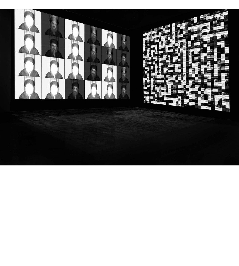